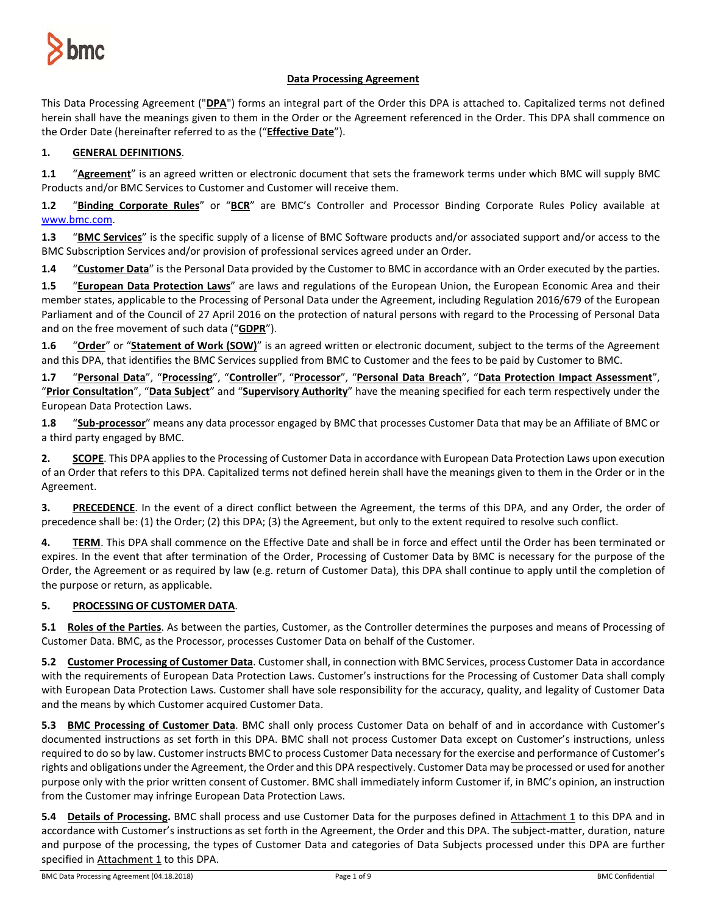

## **Data Processing Agreement**

This Data Processing Agreement ("**DPA**") forms an integral part of the Order this DPA is attached to. Capitalized terms not defined herein shall have the meanings given to them in the Order or the Agreement referenced in the Order. This DPA shall commence on the Order Date (hereinafter referred to as the ("**Effective Date**").

## **1. GENERAL DEFINITIONS**.

**1.1** "**Agreement**" is an agreed written or electronic document that sets the framework terms under which BMC will supply BMC Products and/or BMC Services to Customer and Customer will receive them.

**1.2** "**Binding Corporate Rules**" or "**BCR**" are BMC's Controller and Processor Binding Corporate Rules Policy available at [www.bmc.com.](http://www.bmc.com/)

**1.3** "**BMC Services**" is the specific supply of a license of BMC Software products and/or associated support and/or access to the BMC Subscription Services and/or provision of professional services agreed under an Order.

**1.4** "**Customer Data**" is the Personal Data provided by the Customer to BMC in accordance with an Order executed by the parties.

**1.5** "**European Data Protection Laws**" are laws and regulations of the European Union, the European Economic Area and their member states, applicable to the Processing of Personal Data under the Agreement, including Regulation 2016/679 of the European Parliament and of the Council of 27 April 2016 on the protection of natural persons with regard to the Processing of Personal Data and on the free movement of such data ("**GDPR**").

**1.6** "**Order**" or "**Statement of Work (SOW)**" is an agreed written or electronic document, subject to the terms of the Agreement and this DPA, that identifies the BMC Services supplied from BMC to Customer and the fees to be paid by Customer to BMC.

**1.7** "**Personal Data**", "**Processing**", "**Controller**", "**Processor**", "**Personal Data Breach**", "**Data Protection Impact Assessment**", "**Prior Consultation**", "**Data Subject**" and "**Supervisory Authority**" have the meaning specified for each term respectively under the European Data Protection Laws.

**1.8** "**Sub-processor**" means any data processor engaged by BMC that processes Customer Data that may be an Affiliate of BMC or a third party engaged by BMC.

**2. SCOPE**. This DPA applies to the Processing of Customer Data in accordance with European Data Protection Laws upon execution of an Order that refers to this DPA. Capitalized terms not defined herein shall have the meanings given to them in the Order or in the Agreement.

**3. PRECEDENCE**. In the event of a direct conflict between the Agreement, the terms of this DPA, and any Order, the order of precedence shall be: (1) the Order; (2) this DPA; (3) the Agreement, but only to the extent required to resolve such conflict.

**4. TERM**. This DPA shall commence on the Effective Date and shall be in force and effect until the Order has been terminated or expires. In the event that after termination of the Order, Processing of Customer Data by BMC is necessary for the purpose of the Order, the Agreement or as required by law (e.g. return of Customer Data), this DPA shall continue to apply until the completion of the purpose or return, as applicable.

### **5. PROCESSING OF CUSTOMER DATA**.

**5.1 Roles of the Parties**. As between the parties, Customer, as the Controller determines the purposes and means of Processing of Customer Data. BMC, as the Processor, processes Customer Data on behalf of the Customer.

**5.2 Customer Processing of Customer Data**. Customer shall, in connection with BMC Services, process Customer Data in accordance with the requirements of European Data Protection Laws. Customer's instructions for the Processing of Customer Data shall comply with European Data Protection Laws. Customer shall have sole responsibility for the accuracy, quality, and legality of Customer Data and the means by which Customer acquired Customer Data.

**5.3 BMC Processing of Customer Data**. BMC shall only process Customer Data on behalf of and in accordance with Customer's documented instructions as set forth in this DPA. BMC shall not process Customer Data except on Customer's instructions, unless required to do so by law. Customer instructs BMC to process Customer Data necessary for the exercise and performance of Customer's rights and obligations under the Agreement, the Order and this DPA respectively. Customer Data may be processed or used for another purpose only with the prior written consent of Customer. BMC shall immediately inform Customer if, in BMC's opinion, an instruction from the Customer may infringe European Data Protection Laws.

**5.4 Details of Processing.** BMC shall process and use Customer Data for the purposes defined in Attachment 1 to this DPA and in accordance with Customer's instructions as set forth in the Agreement, the Order and this DPA. The subject-matter, duration, nature and purpose of the processing, the types of Customer Data and categories of Data Subjects processed under this DPA are further specified in Attachment 1 to this DPA.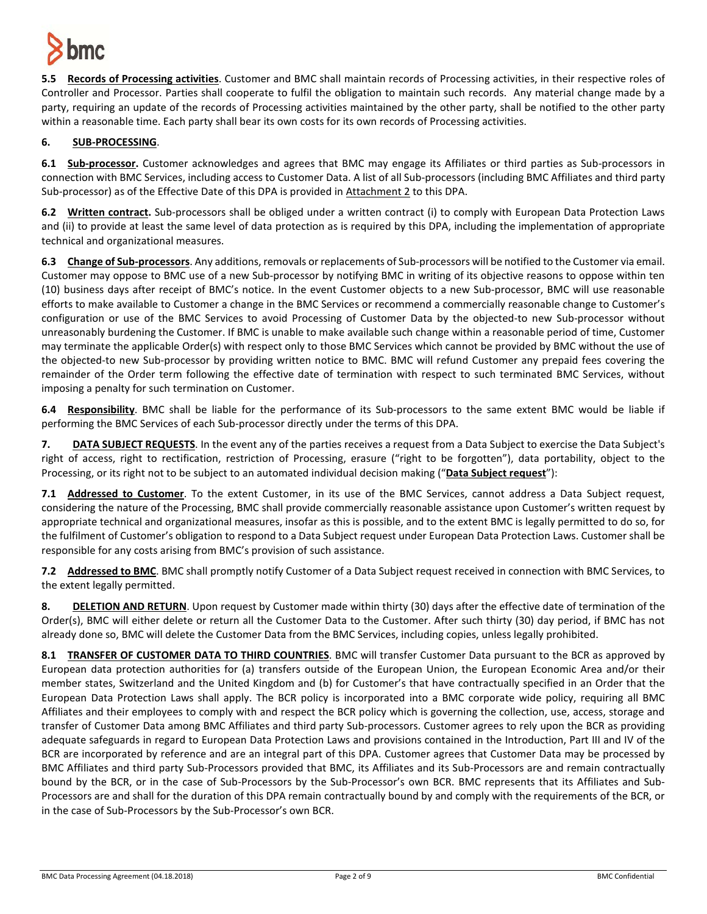

**5.5 Records of Processing activities**. Customer and BMC shall maintain records of Processing activities, in their respective roles of Controller and Processor. Parties shall cooperate to fulfil the obligation to maintain such records. Any material change made by a party, requiring an update of the records of Processing activities maintained by the other party, shall be notified to the other party within a reasonable time. Each party shall bear its own costs for its own records of Processing activities.

## **6. SUB-PROCESSING**.

**6.1 Sub-processor.** Customer acknowledges and agrees that BMC may engage its Affiliates or third parties as Sub-processors in connection with BMC Services, including access to Customer Data. A list of all Sub-processors (including BMC Affiliates and third party Sub-processor) as of the Effective Date of this DPA is provided in Attachment 2 to this DPA.

**6.2 Written contract.** Sub-processors shall be obliged under a written contract (i) to comply with European Data Protection Laws and (ii) to provide at least the same level of data protection as is required by this DPA, including the implementation of appropriate technical and organizational measures.

**6.3 Change of Sub-processors**. Any additions, removals or replacements of Sub-processors will be notified to the Customer via email. Customer may oppose to BMC use of a new Sub-processor by notifying BMC in writing of its objective reasons to oppose within ten (10) business days after receipt of BMC's notice. In the event Customer objects to a new Sub-processor, BMC will use reasonable efforts to make available to Customer a change in the BMC Services or recommend a commercially reasonable change to Customer's configuration or use of the BMC Services to avoid Processing of Customer Data by the objected-to new Sub-processor without unreasonably burdening the Customer. If BMC is unable to make available such change within a reasonable period of time, Customer may terminate the applicable Order(s) with respect only to those BMC Services which cannot be provided by BMC without the use of the objected-to new Sub-processor by providing written notice to BMC. BMC will refund Customer any prepaid fees covering the remainder of the Order term following the effective date of termination with respect to such terminated BMC Services, without imposing a penalty for such termination on Customer.

**6.4 Responsibility**. BMC shall be liable for the performance of its Sub-processors to the same extent BMC would be liable if performing the BMC Services of each Sub-processor directly under the terms of this DPA.

**7. DATA SUBJECT REQUESTS**. In the event any of the parties receives a request from a Data Subject to exercise the Data Subject's right of access, right to rectification, restriction of Processing, erasure ("right to be forgotten"), data portability, object to the Processing, or its right not to be subject to an automated individual decision making ("**Data Subject request**"):

**7.1 Addressed to Customer**. To the extent Customer, in its use of the BMC Services, cannot address a Data Subject request, considering the nature of the Processing, BMC shall provide commercially reasonable assistance upon Customer's written request by appropriate technical and organizational measures, insofar as this is possible, and to the extent BMC is legally permitted to do so, for the fulfilment of Customer's obligation to respond to a Data Subject request under European Data Protection Laws. Customer shall be responsible for any costs arising from BMC's provision of such assistance.

**7.2 Addressed to BMC**. BMC shall promptly notify Customer of a Data Subject request received in connection with BMC Services, to the extent legally permitted.

**8. DELETION AND RETURN**. Upon request by Customer made within thirty (30) days after the effective date of termination of the Order(s), BMC will either delete or return all the Customer Data to the Customer. After such thirty (30) day period, if BMC has not already done so, BMC will delete the Customer Data from the BMC Services, including copies, unless legally prohibited.

**8.1 TRANSFER OF CUSTOMER DATA TO THIRD COUNTRIES**. BMC will transfer Customer Data pursuant to the BCR as approved by European data protection authorities for (a) transfers outside of the European Union, the European Economic Area and/or their member states, Switzerland and the United Kingdom and (b) for Customer's that have contractually specified in an Order that the European Data Protection Laws shall apply. The BCR policy is incorporated into a BMC corporate wide policy, requiring all BMC Affiliates and their employees to comply with and respect the BCR policy which is governing the collection, use, access, storage and transfer of Customer Data among BMC Affiliates and third party Sub-processors. Customer agrees to rely upon the BCR as providing adequate safeguards in regard to European Data Protection Laws and provisions contained in the Introduction, Part III and IV of the BCR are incorporated by reference and are an integral part of this DPA. Customer agrees that Customer Data may be processed by BMC Affiliates and third party Sub-Processors provided that BMC, its Affiliates and its Sub-Processors are and remain contractually bound by the BCR, or in the case of Sub-Processors by the Sub-Processor's own BCR. BMC represents that its Affiliates and Sub-Processors are and shall for the duration of this DPA remain contractually bound by and comply with the requirements of the BCR, or in the case of Sub-Processors by the Sub-Processor's own BCR.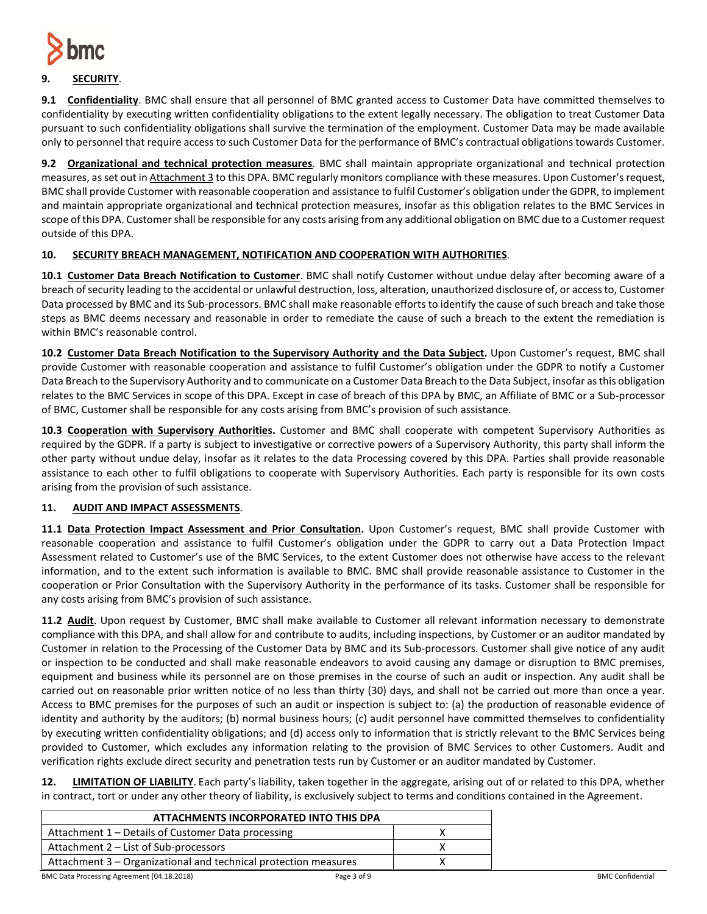

# **9. SECURITY**.

**9.1 Confidentiality**. BMC shall ensure that all personnel of BMC granted access to Customer Data have committed themselves to confidentiality by executing written confidentiality obligations to the extent legally necessary. The obligation to treat Customer Data pursuant to such confidentiality obligations shall survive the termination of the employment. Customer Data may be made available only to personnel that require access to such Customer Data for the performance of BMC's contractual obligations towards Customer.

**9.2 Organizational and technical protection measures**. BMC shall maintain appropriate organizational and technical protection measures, as set out in Attachment 3 to this DPA. BMC regularly monitors compliance with these measures. Upon Customer's request, BMC shall provide Customer with reasonable cooperation and assistance to fulfil Customer's obligation under the GDPR, to implement and maintain appropriate organizational and technical protection measures, insofar as this obligation relates to the BMC Services in scope of this DPA. Customer shall be responsible for any costs arising from any additional obligation on BMC due to a Customer request outside of this DPA.

## **10. SECURITY BREACH MANAGEMENT, NOTIFICATION AND COOPERATION WITH AUTHORITIES**.

**10.1 Customer Data Breach Notification to Customer**. BMC shall notify Customer without undue delay after becoming aware of a breach of security leading to the accidental or unlawful destruction, loss, alteration, unauthorized disclosure of, or accessto, Customer Data processed by BMC and its Sub-processors. BMC shall make reasonable efforts to identify the cause of such breach and take those steps as BMC deems necessary and reasonable in order to remediate the cause of such a breach to the extent the remediation is within BMC's reasonable control.

**10.2 Customer Data Breach Notification to the Supervisory Authority and the Data Subject.** Upon Customer's request, BMC shall provide Customer with reasonable cooperation and assistance to fulfil Customer's obligation under the GDPR to notify a Customer Data Breach to the Supervisory Authority and to communicate on a Customer Data Breach to the Data Subject, insofar as this obligation relates to the BMC Services in scope of this DPA. Except in case of breach of this DPA by BMC, an Affiliate of BMC or a Sub-processor of BMC, Customer shall be responsible for any costs arising from BMC's provision of such assistance.

**10.3 Cooperation with Supervisory Authorities.** Customer and BMC shall cooperate with competent Supervisory Authorities as required by the GDPR. If a party is subject to investigative or corrective powers of a Supervisory Authority, this party shall inform the other party without undue delay, insofar as it relates to the data Processing covered by this DPA. Parties shall provide reasonable assistance to each other to fulfil obligations to cooperate with Supervisory Authorities. Each party is responsible for its own costs arising from the provision of such assistance.

## **11. AUDIT AND IMPACT ASSESSMENTS**.

**11.1 Data Protection Impact Assessment and Prior Consultation.** Upon Customer's request, BMC shall provide Customer with reasonable cooperation and assistance to fulfil Customer's obligation under the GDPR to carry out a Data Protection Impact Assessment related to Customer's use of the BMC Services, to the extent Customer does not otherwise have access to the relevant information, and to the extent such information is available to BMC. BMC shall provide reasonable assistance to Customer in the cooperation or Prior Consultation with the Supervisory Authority in the performance of its tasks. Customer shall be responsible for any costs arising from BMC's provision of such assistance.

**11.2 Audit**. Upon request by Customer, BMC shall make available to Customer all relevant information necessary to demonstrate compliance with this DPA, and shall allow for and contribute to audits, including inspections, by Customer or an auditor mandated by Customer in relation to the Processing of the Customer Data by BMC and its Sub-processors. Customer shall give notice of any audit or inspection to be conducted and shall make reasonable endeavors to avoid causing any damage or disruption to BMC premises, equipment and business while its personnel are on those premises in the course of such an audit or inspection. Any audit shall be carried out on reasonable prior written notice of no less than thirty (30) days, and shall not be carried out more than once a year. Access to BMC premises for the purposes of such an audit or inspection is subject to: (a) the production of reasonable evidence of identity and authority by the auditors; (b) normal business hours; (c) audit personnel have committed themselves to confidentiality by executing written confidentiality obligations; and (d) access only to information that is strictly relevant to the BMC Services being provided to Customer, which excludes any information relating to the provision of BMC Services to other Customers. Audit and verification rights exclude direct security and penetration tests run by Customer or an auditor mandated by Customer.

**12. LIMITATION OF LIABILITY**. Each party's liability, taken together in the aggregate, arising out of or related to this DPA, whether in contract, tort or under any other theory of liability, is exclusively subject to terms and conditions contained in the Agreement.

| ATTACHMENTS INCORPORATED INTO THIS DPA                          |  |  |
|-----------------------------------------------------------------|--|--|
| Attachment 1 – Details of Customer Data processing              |  |  |
| Attachment 2 – List of Sub-processors                           |  |  |
| Attachment 3 - Organizational and technical protection measures |  |  |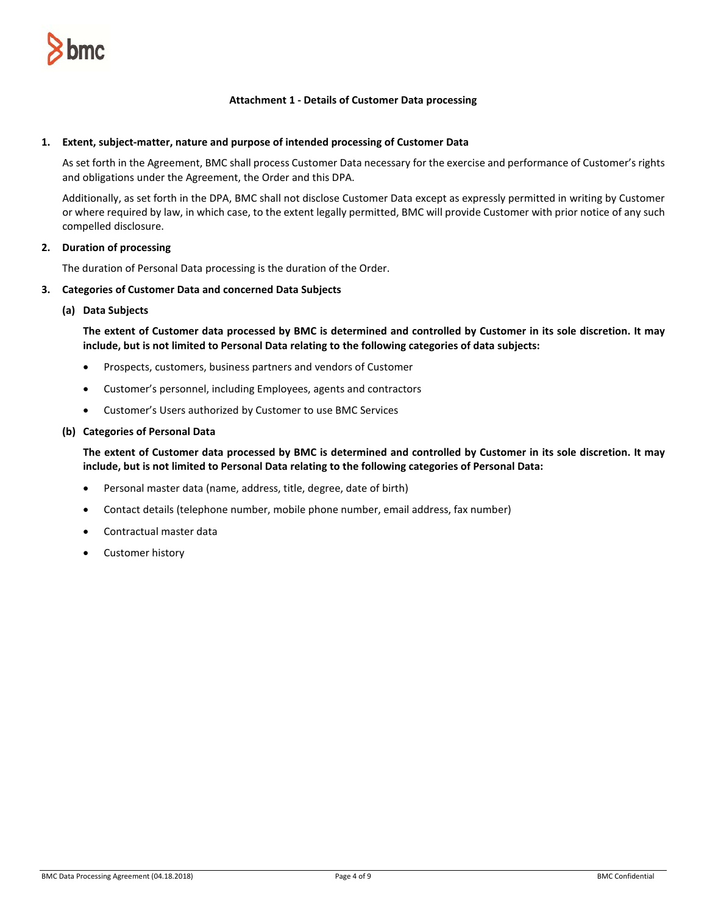

#### **Attachment 1 - Details of Customer Data processing**

#### **1. Extent, subject-matter, nature and purpose of intended processing of Customer Data**

As set forth in the Agreement, BMC shall process Customer Data necessary for the exercise and performance of Customer's rights and obligations under the Agreement, the Order and this DPA.

Additionally, as set forth in the DPA, BMC shall not disclose Customer Data except as expressly permitted in writing by Customer or where required by law, in which case, to the extent legally permitted, BMC will provide Customer with prior notice of any such compelled disclosure.

#### **2. Duration of processing**

The duration of Personal Data processing is the duration of the Order.

#### **3. Categories of Customer Data and concerned Data Subjects**

**(a) Data Subjects**

**The extent of Customer data processed by BMC is determined and controlled by Customer in its sole discretion. It may include, but is not limited to Personal Data relating to the following categories of data subjects:**

- Prospects, customers, business partners and vendors of Customer
- Customer's personnel, including Employees, agents and contractors
- Customer's Users authorized by Customer to use BMC Services

#### **(b) Categories of Personal Data**

**The extent of Customer data processed by BMC is determined and controlled by Customer in its sole discretion. It may include, but is not limited to Personal Data relating to the following categories of Personal Data:**

- Personal master data (name, address, title, degree, date of birth)
- Contact details (telephone number, mobile phone number, email address, fax number)
- Contractual master data
- Customer history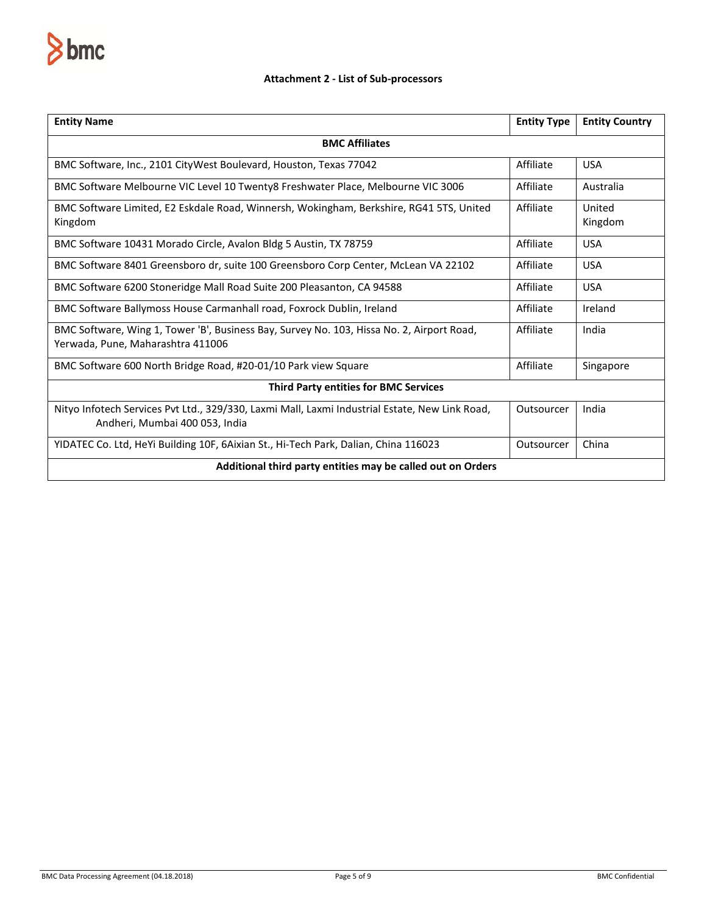

### **Attachment 2 - List of Sub-processors**

| <b>Entity Name</b>                                                                                                               | <b>Entity Type</b> | <b>Entity Country</b> |  |
|----------------------------------------------------------------------------------------------------------------------------------|--------------------|-----------------------|--|
| <b>BMC Affiliates</b>                                                                                                            |                    |                       |  |
| BMC Software, Inc., 2101 CityWest Boulevard, Houston, Texas 77042                                                                | Affiliate          | <b>USA</b>            |  |
| BMC Software Melbourne VIC Level 10 Twenty8 Freshwater Place, Melbourne VIC 3006                                                 | Affiliate          | Australia             |  |
| BMC Software Limited, E2 Eskdale Road, Winnersh, Wokingham, Berkshire, RG41 5TS, United<br>Kingdom                               | Affiliate          | United<br>Kingdom     |  |
| BMC Software 10431 Morado Circle, Avalon Bldg 5 Austin, TX 78759                                                                 | Affiliate          | <b>USA</b>            |  |
| BMC Software 8401 Greensboro dr, suite 100 Greensboro Corp Center, McLean VA 22102                                               | Affiliate          | <b>USA</b>            |  |
| BMC Software 6200 Stoneridge Mall Road Suite 200 Pleasanton, CA 94588                                                            | Affiliate          | <b>USA</b>            |  |
| BMC Software Ballymoss House Carmanhall road, Foxrock Dublin, Ireland                                                            | Affiliate          | Ireland               |  |
| BMC Software, Wing 1, Tower 'B', Business Bay, Survey No. 103, Hissa No. 2, Airport Road,<br>Yerwada, Pune, Maharashtra 411006   | Affiliate          | India                 |  |
| BMC Software 600 North Bridge Road, #20-01/10 Park view Square                                                                   | Affiliate          | Singapore             |  |
| <b>Third Party entities for BMC Services</b>                                                                                     |                    |                       |  |
| Nityo Infotech Services Pvt Ltd., 329/330, Laxmi Mall, Laxmi Industrial Estate, New Link Road,<br>Andheri, Mumbai 400 053, India | Outsourcer         | India                 |  |
| YIDATEC Co. Ltd, HeYi Building 10F, 6Aixian St., Hi-Tech Park, Dalian, China 116023                                              | Outsourcer         | China                 |  |
| Additional third party entities may be called out on Orders                                                                      |                    |                       |  |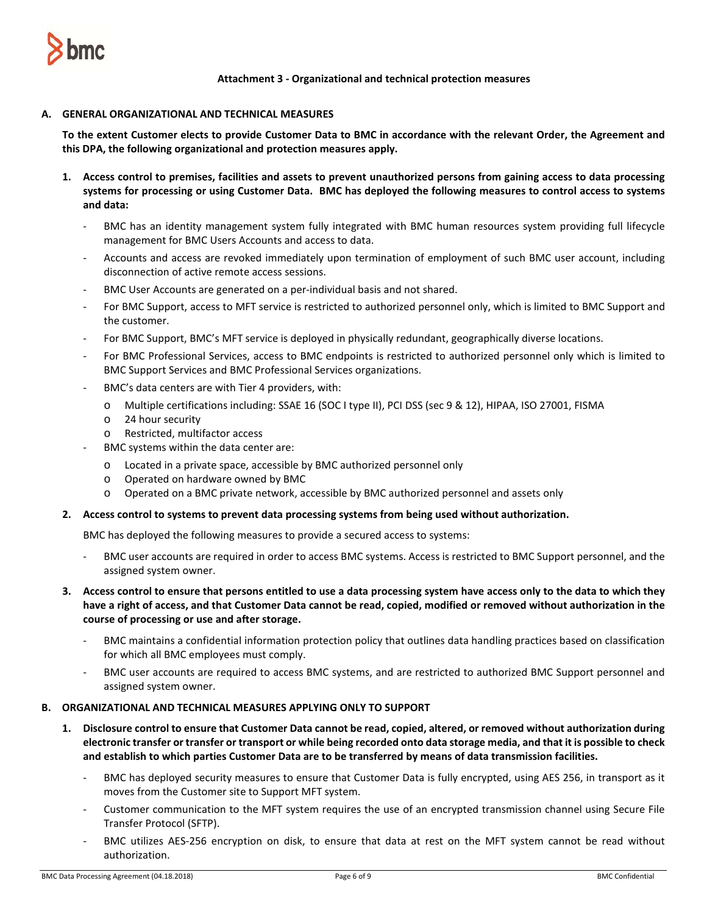

**Attachment 3 - Organizational and technical protection measures**

### **A. GENERAL ORGANIZATIONAL AND TECHNICAL MEASURES**

**To the extent Customer elects to provide Customer Data to BMC in accordance with the relevant Order, the Agreement and this DPA, the following organizational and protection measures apply.** 

- **1. Access control to premises, facilities and assets to prevent unauthorized persons from gaining access to data processing systems for processing or using Customer Data. BMC has deployed the following measures to control access to systems and data:**
	- BMC has an identity management system fully integrated with BMC human resources system providing full lifecycle management for BMC Users Accounts and access to data.
	- Accounts and access are revoked immediately upon termination of employment of such BMC user account, including disconnection of active remote access sessions.
	- BMC User Accounts are generated on a per-individual basis and not shared.
	- For BMC Support, access to MFT service is restricted to authorized personnel only, which is limited to BMC Support and the customer.
	- For BMC Support, BMC's MFT service is deployed in physically redundant, geographically diverse locations.
	- For BMC Professional Services, access to BMC endpoints is restricted to authorized personnel only which is limited to BMC Support Services and BMC Professional Services organizations.
	- BMC's data centers are with Tier 4 providers, with:
		- o Multiple certifications including: SSAE 16 (SOC I type II), PCI DSS (sec 9 & 12), HIPAA, ISO 27001, FISMA
		- o 24 hour security
		- o Restricted, multifactor access
	- BMC systems within the data center are:
		- o Located in a private space, accessible by BMC authorized personnel only
		- o Operated on hardware owned by BMC
		- o Operated on a BMC private network, accessible by BMC authorized personnel and assets only

#### **2. Access control to systems to prevent data processing systems from being used without authorization.**

BMC has deployed the following measures to provide a secured access to systems:

- BMC user accounts are required in order to access BMC systems. Access is restricted to BMC Support personnel, and the assigned system owner.
- **3. Access control to ensure that persons entitled to use a data processing system have access only to the data to which they have a right of access, and that Customer Data cannot be read, copied, modified or removed without authorization in the course of processing or use and after storage.**
	- BMC maintains a confidential information protection policy that outlines data handling practices based on classification for which all BMC employees must comply.
	- BMC user accounts are required to access BMC systems, and are restricted to authorized BMC Support personnel and assigned system owner.

#### **B. ORGANIZATIONAL AND TECHNICAL MEASURES APPLYING ONLY TO SUPPORT**

- **1. Disclosure control to ensure that Customer Data cannot be read, copied, altered, or removed without authorization during electronic transfer or transfer or transport or while being recorded onto data storage media, and that it is possible to check and establish to which parties Customer Data are to be transferred by means of data transmission facilities.** 
	- BMC has deployed security measures to ensure that Customer Data is fully encrypted, using AES 256, in transport as it moves from the Customer site to Support MFT system.
	- Customer communication to the MFT system requires the use of an encrypted transmission channel using Secure File Transfer Protocol (SFTP).
	- BMC utilizes AES-256 encryption on disk, to ensure that data at rest on the MFT system cannot be read without authorization.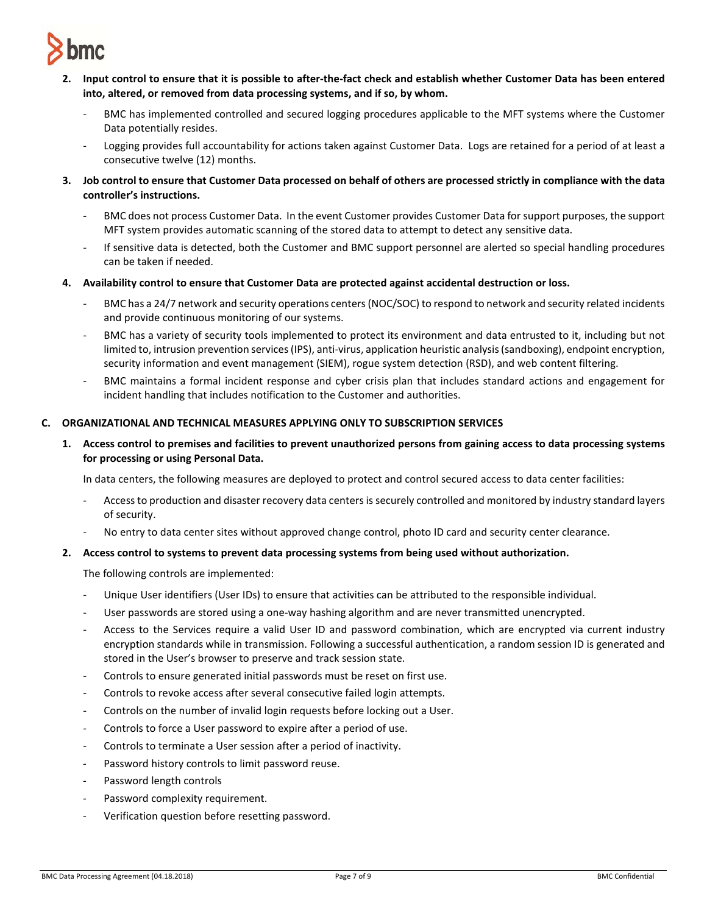

- **2. Input control to ensure that it is possible to after-the-fact check and establish whether Customer Data has been entered into, altered, or removed from data processing systems, and if so, by whom.** 
	- BMC has implemented controlled and secured logging procedures applicable to the MFT systems where the Customer Data potentially resides.
	- Logging provides full accountability for actions taken against Customer Data. Logs are retained for a period of at least a consecutive twelve (12) months.
- **3. Job control to ensure that Customer Data processed on behalf of others are processed strictly in compliance with the data controller's instructions.** 
	- BMC does not process Customer Data. In the event Customer provides Customer Data for support purposes, the support MFT system provides automatic scanning of the stored data to attempt to detect any sensitive data.
	- If sensitive data is detected, both the Customer and BMC support personnel are alerted so special handling procedures can be taken if needed.
- **4. Availability control to ensure that Customer Data are protected against accidental destruction or loss.** 
	- BMC has a 24/7 network and security operations centers (NOC/SOC) to respond to network and security related incidents and provide continuous monitoring of our systems.
	- BMC has a variety of security tools implemented to protect its environment and data entrusted to it, including but not limited to, intrusion prevention services (IPS), anti-virus, application heuristic analysis (sandboxing), endpoint encryption, security information and event management (SIEM), rogue system detection (RSD), and web content filtering.
	- BMC maintains a formal incident response and cyber crisis plan that includes standard actions and engagement for incident handling that includes notification to the Customer and authorities.

### **C. ORGANIZATIONAL AND TECHNICAL MEASURES APPLYING ONLY TO SUBSCRIPTION SERVICES**

**1. Access control to premises and facilities to prevent unauthorized persons from gaining access to data processing systems for processing or using Personal Data.**

In data centers, the following measures are deployed to protect and control secured access to data center facilities:

- Access to production and disaster recovery data centers is securely controlled and monitored by industry standard layers of security.
- No entry to data center sites without approved change control, photo ID card and security center clearance.

#### **2. Access control to systems to prevent data processing systems from being used without authorization.**

The following controls are implemented:

- Unique User identifiers (User IDs) to ensure that activities can be attributed to the responsible individual.
- User passwords are stored using a one-way hashing algorithm and are never transmitted unencrypted.
- Access to the Services require a valid User ID and password combination, which are encrypted via current industry encryption standards while in transmission. Following a successful authentication, a random session ID is generated and stored in the User's browser to preserve and track session state.
- Controls to ensure generated initial passwords must be reset on first use.
- Controls to revoke access after several consecutive failed login attempts.
- Controls on the number of invalid login requests before locking out a User.
- Controls to force a User password to expire after a period of use.
- Controls to terminate a User session after a period of inactivity.
- Password history controls to limit password reuse.
- Password length controls
- Password complexity requirement.
- Verification question before resetting password.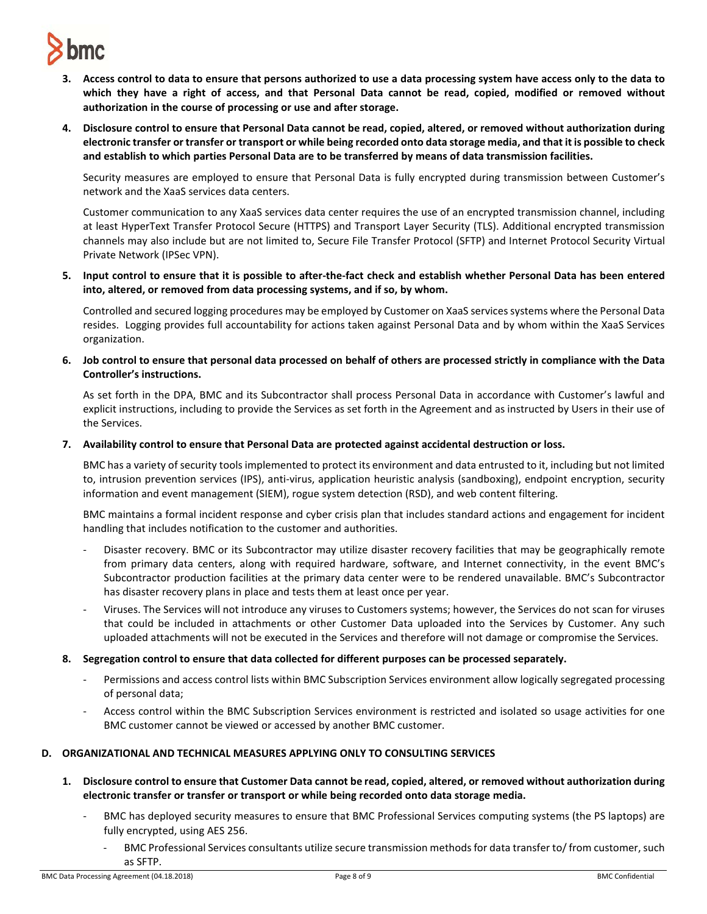

- **3. Access control to data to ensure that persons authorized to use a data processing system have access only to the data to which they have a right of access, and that Personal Data cannot be read, copied, modified or removed without authorization in the course of processing or use and after storage.**
- **4. Disclosure control to ensure that Personal Data cannot be read, copied, altered, or removed without authorization during electronic transfer or transfer or transport or while being recorded onto data storage media, and that it is possible to check and establish to which parties Personal Data are to be transferred by means of data transmission facilities.**

Security measures are employed to ensure that Personal Data is fully encrypted during transmission between Customer's network and the XaaS services data centers.

Customer communication to any XaaS services data center requires the use of an encrypted transmission channel, including at least HyperText Transfer Protocol Secure (HTTPS) and Transport Layer Security (TLS). Additional encrypted transmission channels may also include but are not limited to, Secure File Transfer Protocol (SFTP) and Internet Protocol Security Virtual Private Network (IPSec VPN).

**5. Input control to ensure that it is possible to after-the-fact check and establish whether Personal Data has been entered into, altered, or removed from data processing systems, and if so, by whom.**

Controlled and secured logging procedures may be employed by Customer on XaaS services systems where the Personal Data resides. Logging provides full accountability for actions taken against Personal Data and by whom within the XaaS Services organization.

**6. Job control to ensure that personal data processed on behalf of others are processed strictly in compliance with the Data Controller's instructions.**

As set forth in the DPA, BMC and its Subcontractor shall process Personal Data in accordance with Customer's lawful and explicit instructions, including to provide the Services as set forth in the Agreement and as instructed by Users in their use of the Services.

**7. Availability control to ensure that Personal Data are protected against accidental destruction or loss.**

BMC has a variety of security tools implemented to protect its environment and data entrusted to it, including but not limited to, intrusion prevention services (IPS), anti-virus, application heuristic analysis (sandboxing), endpoint encryption, security information and event management (SIEM), rogue system detection (RSD), and web content filtering.

BMC maintains a formal incident response and cyber crisis plan that includes standard actions and engagement for incident handling that includes notification to the customer and authorities.

- Disaster recovery. BMC or its Subcontractor may utilize disaster recovery facilities that may be geographically remote from primary data centers, along with required hardware, software, and Internet connectivity, in the event BMC's Subcontractor production facilities at the primary data center were to be rendered unavailable. BMC's Subcontractor has disaster recovery plans in place and tests them at least once per year.
- Viruses. The Services will not introduce any viruses to Customers systems; however, the Services do not scan for viruses that could be included in attachments or other Customer Data uploaded into the Services by Customer. Any such uploaded attachments will not be executed in the Services and therefore will not damage or compromise the Services.
- **8. Segregation control to ensure that data collected for different purposes can be processed separately.** 
	- Permissions and access control lists within BMC Subscription Services environment allow logically segregated processing of personal data;
	- Access control within the BMC Subscription Services environment is restricted and isolated so usage activities for one BMC customer cannot be viewed or accessed by another BMC customer.

### **D. ORGANIZATIONAL AND TECHNICAL MEASURES APPLYING ONLY TO CONSULTING SERVICES**

- **1. Disclosure control to ensure that Customer Data cannot be read, copied, altered, or removed without authorization during electronic transfer or transfer or transport or while being recorded onto data storage media.**
	- BMC has deployed security measures to ensure that BMC Professional Services computing systems (the PS laptops) are fully encrypted, using AES 256.
		- BMC Professional Services consultants utilize secure transmission methods for data transfer to/ from customer, such as SFTP.